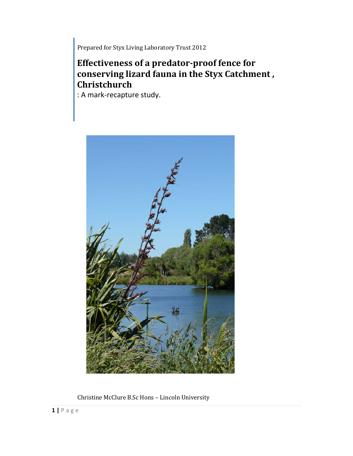Prepared for Styx Living Laboratory Trust 2012

# **Effectiveness of a predator-proof fence for conserving lizard fauna in the Styx Catchment , Christchurch**

: A mark-recapture study.



Christine McClure B.Sc Hons – Lincoln University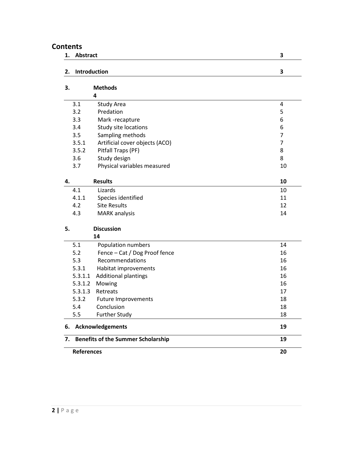# **Contents**

| 1.                | Abstract                                        |                                | 3              |  |
|-------------------|-------------------------------------------------|--------------------------------|----------------|--|
| 2.                |                                                 | Introduction                   | 3              |  |
| 3.                |                                                 | <b>Methods</b>                 |                |  |
|                   |                                                 | 4                              |                |  |
|                   | 3.1                                             | Study Area                     | 4              |  |
|                   | 3.2                                             | Predation                      | 5              |  |
|                   | 3.3                                             | Mark-recapture                 | 6              |  |
|                   | 3.4                                             | Study site locations           | 6              |  |
|                   | 3.5                                             | Sampling methods               | $\overline{7}$ |  |
|                   | 3.5.1                                           | Artificial cover objects (ACO) | $\overline{7}$ |  |
|                   | 3.5.2                                           | Pitfall Traps (PF)             | 8              |  |
|                   | 3.6                                             | Study design                   | 8              |  |
|                   | 3.7                                             | Physical variables measured    | 10             |  |
|                   |                                                 |                                |                |  |
| 4.                |                                                 | <b>Results</b>                 | 10             |  |
|                   | 4.1                                             | Lizards                        | 10             |  |
|                   | 4.1.1                                           | Species identified             | 11             |  |
|                   | 4.2                                             | <b>Site Results</b>            | 12             |  |
|                   | 4.3                                             | <b>MARK</b> analysis           | 14             |  |
| 5.                |                                                 | <b>Discussion</b>              |                |  |
|                   |                                                 | 14                             |                |  |
|                   | 5.1                                             | Population numbers             | 14             |  |
|                   | 5.2                                             | Fence - Cat / Dog Proof fence  | 16             |  |
|                   | 5.3                                             | Recommendations                | 16             |  |
|                   | 5.3.1                                           | Habitat improvements           | 16             |  |
|                   | 5.3.1.1                                         | <b>Additional plantings</b>    | 16             |  |
|                   | 5.3.1.2                                         | Mowing                         | 16             |  |
|                   | 5.3.1.3                                         | Retreats                       | 17             |  |
|                   | 5.3.2                                           | <b>Future Improvements</b>     | 18             |  |
|                   | 5.4                                             | Conclusion                     | 18             |  |
|                   | 5.5                                             | <b>Further Study</b>           | 18             |  |
| 6.                |                                                 | <b>Acknowledgements</b><br>19  |                |  |
| 7.                | <b>Benefits of the Summer Scholarship</b><br>19 |                                |                |  |
| <b>References</b> |                                                 |                                | 20             |  |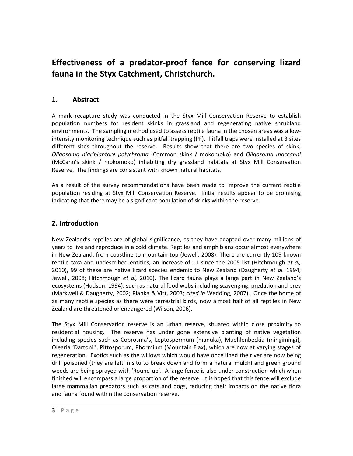# **Effectiveness of a predator-proof fence for conserving lizard fauna in the Styx Catchment, Christchurch.**

# **1. Abstract**

A mark recapture study was conducted in the Styx Mill Conservation Reserve to establish population numbers for resident skinks in grassland and regenerating native shrubland environments. The sampling method used to assess reptile fauna in the chosen areas was a lowintensity monitoring technique such as pitfall trapping (PF). Pitfall traps were installed at 3 sites different sites throughout the reserve. Results show that there are two species of skink; *Oligosoma nigriplantare polychroma* (Common skink / mokomoko) and *Oligosoma maccanni* (McCann's skink / mokomoko) inhabiting dry grassland habitats at Styx Mill Conservation Reserve. The findings are consistent with known natural habitats.

As a result of the survey recommendations have been made to improve the current reptile population residing at Styx Mill Conservation Reserve. Initial results appear to be promising indicating that there may be a significant population of skinks within the reserve.

# **2. Introduction**

New Zealand's reptiles are of global significance, as they have adapted over many millions of years to live and reproduce in a cold climate. Reptiles and amphibians occur almost everywhere in New Zealand, from coastline to mountain top (Jewell, 2008). There are currently 109 known reptile taxa and undescribed entities, an increase of 11 since the 2005 list (Hitchmough *et al,* 2010), 99 of these are native lizard species endemic to New Zealand (Daugherty *et al.* 1994; Jewell, 2008; Hitchmough *et al,* 2010). The lizard fauna plays a large part in New Zealand's ecosystems (Hudson, 1994), such as natural food webs including scavenging, predation and prey (Markwell & Daugherty, 2002; Pianka & Vitt, 2003; *cited in* Wedding, 2007). Once the home of as many reptile species as there were terrestrial birds, now almost half of all reptiles in New Zealand are threatened or endangered (Wilson, 2006).

The Styx Mill Conservation reserve is an urban reserve, situated within close proximity to residential housing. The reserve has under gone extensive planting of native vegetation including species such as Coprosma's, Leptospermum (manuka), Muehlenbeckia (mingimingi), Olearia 'Dartonii', Pittosporum, Phormium (Mountain Flax), which are now at varying stages of regeneration. Exotics such as the willows which would have once lined the river are now being drill poisoned (they are left in situ to break down and form a natural mulch) and green ground weeds are being sprayed with 'Round-up'. A large fence is also under construction which when finished will encompass a large proportion of the reserve. It is hoped that this fence will exclude large mammalian predators such as cats and dogs, reducing their impacts on the native flora and fauna found within the conservation reserve.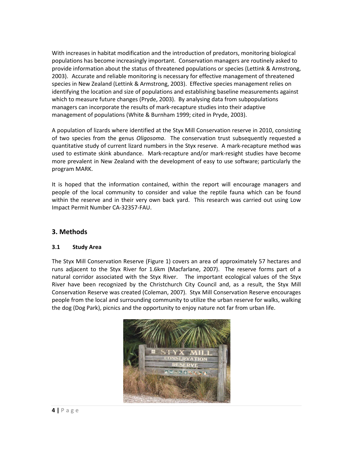With increases in habitat modification and the introduction of predators, monitoring biological populations has become increasingly important. Conservation managers are routinely asked to provide information about the status of threatened populations or species (Lettink & Armstrong, 2003). Accurate and reliable monitoring is necessary for effective management of threatened species in New Zealand (Lettink & Armstrong, 2003). Effective species management relies on identifying the location and size of populations and establishing baseline measurements against which to measure future changes (Pryde, 2003). By analysing data from subpopulations managers can incorporate the results of mark-recapture studies into their adaptive management of populations (White & Burnham 1999; cited in Pryde, 2003).

A population of lizards where identified at the Styx Mill Conservation reserve in 2010, consisting of two species from the genus *Oligosoma*. The conservation trust subsequently requested a quantitative study of current lizard numbers in the Styx reserve. A mark-recapture method was used to estimate skink abundance. Mark-recapture and/or mark-resight studies have become more prevalent in New Zealand with the development of easy to use software; particularly the program MARK.

It is hoped that the information contained, within the report will encourage managers and people of the local community to consider and value the reptile fauna which can be found within the reserve and in their very own back yard. This research was carried out using Low Impact Permit Number CA-32357-FAU.

# **3. Methods**

## **3.1 Study Area**

The Styx Mill Conservation Reserve (Figure 1) covers an area of approximately 57 hectares and runs adjacent to the Styx River for 1.6km (Macfarlane, 2007). The reserve forms part of a natural corridor associated with the Styx River. The important ecological values of the Styx River have been recognized by the Christchurch City Council and, as a result, the Styx Mill Conservation Reserve was created (Coleman, 2007). Styx Mill Conservation Reserve encourages people from the local and surrounding community to utilize the urban reserve for walks, walking the dog (Dog Park), picnics and the opportunity to enjoy nature not far from urban life.

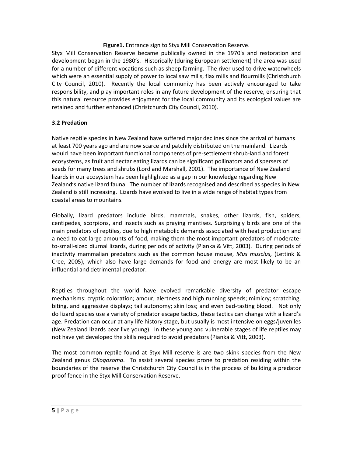### **Figure1.** Entrance sign to Styx Mill Conservation Reserve.

Styx Mill Conservation Reserve became publically owned in the 1970's and restoration and development began in the 1980's. Historically (during European settlement) the area was used for a number of different vocations such as sheep farming. The river used to drive waterwheels which were an essential supply of power to local saw mills, flax mills and flourmills (Christchurch City Council, 2010). Recently the local community has been actively encouraged to take responsibility, and play important roles in any future development of the reserve, ensuring that this natural resource provides enjoyment for the local community and its ecological values are retained and further enhanced (Christchurch City Council, 2010).

#### **3.2 Predation**

Native reptile species in New Zealand have suffered major declines since the arrival of humans at least 700 years ago and are now scarce and patchily distributed on the mainland. Lizards would have been important functional components of pre-settlement shrub-land and forest ecosystems, as fruit and nectar eating lizards can be significant pollinators and dispersers of seeds for many trees and shrubs (Lord and Marshall, 2001). The importance of New Zealand lizards in our ecosystem has been highlighted as a gap in our knowledge regarding New Zealand's native lizard fauna. The number of lizards recognised and described as species in New Zealand is still increasing. Lizards have evolved to live in a wide range of habitat types from coastal areas to mountains.

Globally, lizard predators include birds, mammals, snakes, other lizards, fish, spiders, centipedes, scorpions, and insects such as praying mantises. Surprisingly birds are one of the main predators of reptiles, due to high metabolic demands associated with heat production and a need to eat large amounts of food, making them the most important predators of moderateto-small-sized diurnal lizards, during periods of activity (Pianka & Vitt, 2003). During periods of inactivity mammalian predators such as the common house mouse, *Mus musclus,* (Lettink & Cree, 2005), which also have large demands for food and energy are most likely to be an influential and detrimental predator.

Reptiles throughout the world have evolved remarkable diversity of predator escape mechanisms: cryptic coloration; amour; alertness and high running speeds; mimicry; scratching, biting, and aggressive displays; tail autonomy; skin loss; and even bad-tasting blood. Not only do lizard species use a variety of predator escape tactics, these tactics can change with a lizard's age. Predation can occur at any life history stage, but usually is most intensive on eggs/juveniles (New Zealand lizards bear live young). In these young and vulnerable stages of life reptiles may not have yet developed the skills required to avoid predators (Pianka & Vitt, 2003).

The most common reptile found at Styx Mill reserve is are two skink species from the New Zealand genus *Oliogosoma*. To assist several species prone to predation residing within the boundaries of the reserve the Christchurch City Council is in the process of building a predator proof fence in the Styx Mill Conservation Reserve.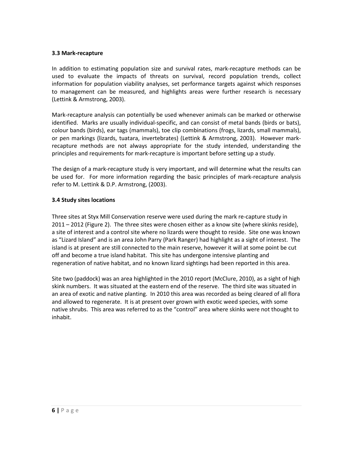#### **3.3 Mark-recapture**

In addition to estimating population size and survival rates, mark-recapture methods can be used to evaluate the impacts of threats on survival, record population trends, collect information for population viability analyses, set performance targets against which responses to management can be measured, and highlights areas were further research is necessary (Lettink & Armstrong, 2003).

Mark-recapture analysis can potentially be used whenever animals can be marked or otherwise identified. Marks are usually individual-specific, and can consist of metal bands (birds or bats), colour bands (birds), ear tags (mammals), toe clip combinations (frogs, lizards, small mammals), or pen markings (lizards, tuatara, invertebrates) (Lettink & Armstrong, 2003). However markrecapture methods are not always appropriate for the study intended, understanding the principles and requirements for mark-recapture is important before setting up a study.

The design of a mark-recapture study is very important, and will determine what the results can be used for. For more information regarding the basic principles of mark-recapture analysis refer to M. Lettink & D.P. Armstrong, (2003).

#### **3.4 Study sites locations**

Three sites at Styx Mill Conservation reserve were used during the mark re-capture study in 2011 – 2012 (Figure 2). The three sites were chosen either as a know site (where skinks reside), a site of interest and a control site where no lizards were thought to reside. Site one was known as "Lizard Island" and is an area John Parry (Park Ranger) had highlight as a sight of interest. The island is at present are still connected to the main reserve, however it will at some point be cut off and become a true island habitat. This site has undergone intensive planting and regeneration of native habitat, and no known lizard sightings had been reported in this area.

Site two (paddock) was an area highlighted in the 2010 report (McClure, 2010), as a sight of high skink numbers. It was situated at the eastern end of the reserve. The third site was situated in an area of exotic and native planting. In 2010 this area was recorded as being cleared of all flora and allowed to regenerate. It is at present over grown with exotic weed species, with some native shrubs. This area was referred to as the "control" area where skinks were not thought to inhabit.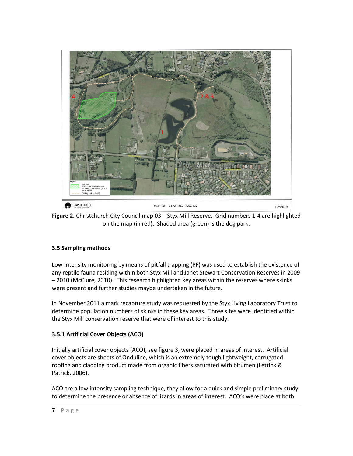

**Figure 2.** Christchurch City Council map 03 – Styx Mill Reserve. Grid numbers 1-4 are highlighted on the map (in red). Shaded area (green) is the dog park.

## **3.5 Sampling methods**

Low-intensity monitoring by means of pitfall trapping (PF) was used to establish the existence of any reptile fauna residing within both Styx Mill and Janet Stewart Conservation Reserves in 2009 – 2010 (McClure, 2010). This research highlighted key areas within the reserves where skinks were present and further studies maybe undertaken in the future.

In November 2011 a mark recapture study was requested by the Styx Living Laboratory Trust to determine population numbers of skinks in these key areas. Three sites were identified within the Styx Mill conservation reserve that were of interest to this study.

# **3.5.1 Artificial Cover Objects (ACO)**

Initially artificial cover objects (ACO), see figure 3, were placed in areas of interest. Artificial cover objects are sheets of Onduline, which is an extremely tough lightweight, corrugated roofing and cladding product made from organic fibers saturated with bitumen (Lettink & Patrick, 2006).

ACO are a low intensity sampling technique, they allow for a quick and simple preliminary study to determine the presence or absence of lizards in areas of interest. ACO's were place at both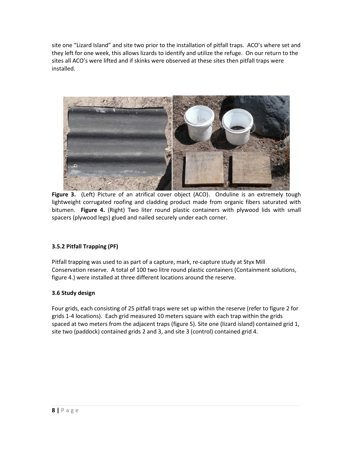site one "Lizard Island" and site two prior to the installation of pitfall traps. ACO's where set and they left for one week, this allows lizards to identify and utilize the refuge. On our return to the sites all ACO's were lifted and if skinks were observed at these sites then pitfall traps were installed.



**Figure 3.** (Left) Picture of an atrifical cover object (ACO). Onduline is an extremely tough lightweight corrugated roofing and cladding product made from organic fibers saturated with bitumen. **Figure 4.** (Right) Two liter round plastic containers with plywood lids with small spacers (plywood legs) glued and nailed securely under each corner.

# **3.5.2 Pitfall Trapping (PF)**

Pitfall trapping was used to as part of a capture, mark, re-capture study at Styx Mill Conservation reserve. A total of 100 two litre round plastic containers (Containment solutions, figure 4.) were installed at three different locations around the reserve.

## **3.6 Study design**

Four grids, each consisting of 25 pitfall traps were set up within the reserve (refer to figure 2 for grids 1-4 locations). Each grid measured 10 meters square with each trap within the grids spaced at two meters from the adjacent traps (figure 5). Site one (lizard island) contained grid 1, site two (paddock) contained grids 2 and 3, and site 3 (control) contained grid 4.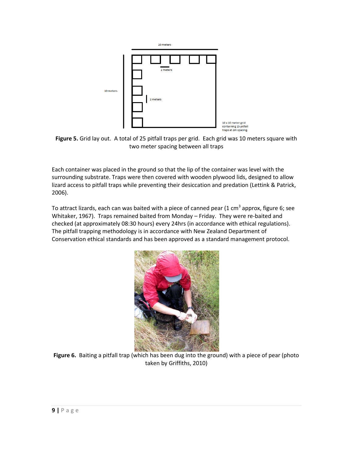

**Figure 5.** Grid lay out. A total of 25 pitfall traps per grid. Each grid was 10 meters square with two meter spacing between all traps

Each container was placed in the ground so that the lip of the container was level with the surrounding substrate. Traps were then covered with wooden plywood lids, designed to allow lizard access to pitfall traps while preventing their desiccation and predation (Lettink & Patrick, 2006).

To attract lizards, each can was baited with a piece of canned pear (1 cm<sup>3</sup> approx, figure 6; see Whitaker, 1967). Traps remained baited from Monday – Friday. They were re-baited and checked (at approximately 08:30 hours) every 24hrs (in accordance with ethical regulations). The pitfall trapping methodology is in accordance with New Zealand Department of Conservation ethical standards and has been approved as a standard management protocol.



**Figure 6.** Baiting a pitfall trap (which has been dug into the ground) with a piece of pear (photo taken by Griffiths, 2010)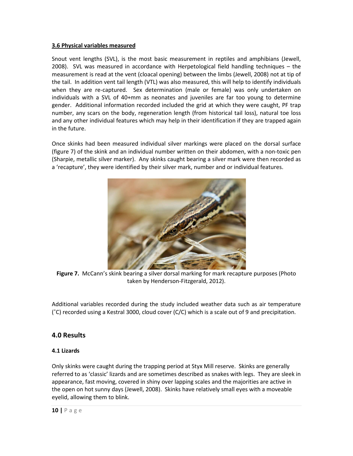### **3.6 Physical variables measured**

Snout vent lengths (SVL), is the most basic measurement in reptiles and amphibians (Jewell, 2008). SVL was measured in accordance with Herpetological field handling techniques – the measurement is read at the vent (cloacal opening) between the limbs (Jewell, 2008) not at tip of the tail. In addition vent tail length (VTL) was also measured, this will help to identify individuals when they are re-captured. Sex determination (male or female) was only undertaken on individuals with a SVL of 40+mm as neonates and juveniles are far too young to determine gender. Additional information recorded included the grid at which they were caught, PF trap number, any scars on the body, regeneration length (from historical tail loss), natural toe loss and any other individual features which may help in their identification if they are trapped again in the future.

Once skinks had been measured individual silver markings were placed on the dorsal surface (figure 7) of the skink and an individual number written on their abdomen, with a non-toxic pen (Sharpie, metallic silver marker). Any skinks caught bearing a silver mark were then recorded as a 'recapture', they were identified by their silver mark, number and or individual features.



**Figure 7.** McCann's skink bearing a silver dorsal marking for mark recapture purposes (Photo taken by Henderson-Fitzgerald, 2012).

Additional variables recorded during the study included weather data such as air temperature  $(°C)$  recorded using a Kestral 3000, cloud cover  $(C/C)$  which is a scale out of 9 and precipitation.

# **4.0 Results**

## **4.1 Lizards**

Only skinks were caught during the trapping period at Styx Mill reserve. Skinks are generally referred to as 'classic' lizards and are sometimes described as snakes with legs. They are sleek in appearance, fast moving, covered in shiny over lapping scales and the majorities are active in the open on hot sunny days (Jewell, 2008). Skinks have relatively small eyes with a moveable eyelid, allowing them to blink.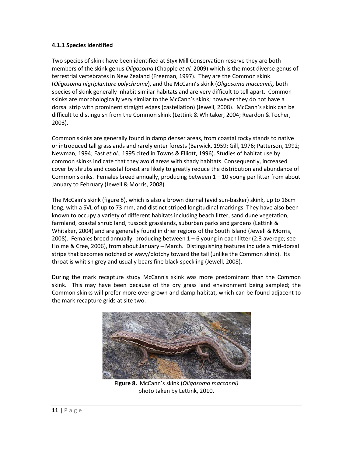#### **4.1.1 Species identified**

Two species of skink have been identified at Styx Mill Conservation reserve they are both members of the skink genus *Oligosoma* (Chapple *et al.* 2009) which is the most diverse genus of terrestrial vertebrates in New Zealand (Freeman, 1997). They are the Common skink (*Oligosoma nigriplantare polychrome*), and the McCann's skink (*Oligosoma maccanni),* both species of skink generally inhabit similar habitats and are very difficult to tell apart. Common skinks are morphologically very similar to the McCann's skink; however they do not have a dorsal strip with prominent straight edges (castellation) (Jewell, 2008). McCann's skink can be difficult to distinguish from the Common skink (Lettink & Whitaker, 2004; Reardon & Tocher, 2003).

Common skinks are generally found in damp denser areas, from coastal rocky stands to native or introduced tall grasslands and rarely enter forests (Barwick, 1959; Gill, 1976; Patterson, 1992; Newman, 1994; East *et al*., 1995 cited in Towns & Elliott, 1996). Studies of habitat use by common skinks indicate that they avoid areas with shady habitats. Consequently, increased cover by shrubs and coastal forest are likely to greatly reduce the distribution and abundance of Common skinks.Females breed annually, producing between 1 – 10 young per litter from about January to February (Jewell & Morris, 2008).

The McCain's skink (figure 8), which is also a brown diurnal (avid sun-basker) skink, up to 16cm long, with a SVL of up to 73 mm, and distinct striped longitudinal markings. They have also been known to occupy a variety of different habitats including beach litter, sand dune vegetation, farmland, coastal shrub land, tussock grasslands, suburban parks and gardens (Lettink & Whitaker, 2004) and are generally found in drier regions of the South Island (Jewell & Morris, 2008). Females breed annually, producing between  $1-6$  young in each litter (2.3 average; see Holme & Cree, 2006), from about January – March. Distinguishing features include a mid-dorsal stripe that becomes notched or wavy/blotchy toward the tail (unlike the Common skink). Its throat is whitish grey and usually bears fine black speckling (Jewell, 2008).

During the mark recapture study McCann's skink was more predominant than the Common skink. This may have been because of the dry grass land environment being sampled; the Common skinks will prefer more over grown and damp habitat, which can be found adjacent to the mark recapture grids at site two.



**Figure 8.** McCann's skink (*Oligosoma maccanni)* photo taken by Lettink, 2010.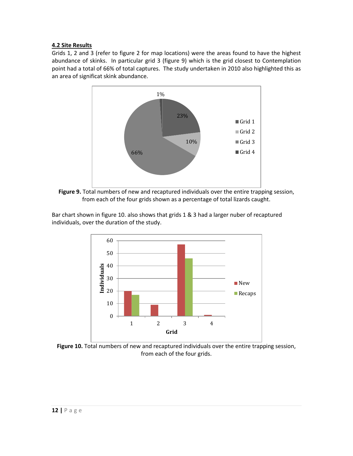## **4.2 Site Results**

Grids 1, 2 and 3 (refer to figure 2 for map locations) were the areas found to have the highest abundance of skinks. In particular grid 3 (figure 9) which is the grid closest to Contemplation point had a total of 66% of total captures. The study undertaken in 2010 also highlighted this as an area of significat skink abundance.



**Figure 9.** Total numbers of new and recaptured individuals over the entire trapping session, from each of the four grids shown as a percentage of total lizards caught.

Bar chart shown in figure 10. also shows that grids 1 & 3 had a larger nuber of recaptured individuals, over the duration of the study.



**Figure 10.** Total numbers of new and recaptured individuals over the entire trapping session, from each of the four grids.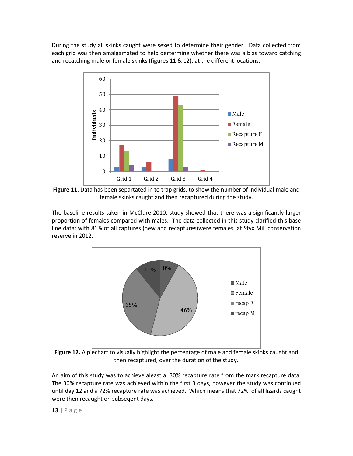During the study all skinks caught were sexed to determine their gender. Data collected from each grid was then amalgamated to help dertermine whether there was a bias toward catching and recatching male or female skinks (figures 11 & 12), at the different locations.



**Figure 11.** Data has been separtated in to trap grids, to show the number of individual male and female skinks caught and then recaptured during the study.

The baseline results taken in McClure 2010, study showed that there was a significantly larger proportion of females compared with males. The data collected in this study clarified this base line data; with 81% of all captures (new and recaptures)were females at Styx Mill conservation reserve in 2012.



**Figure 12.** A piechart to visually highlight the percentage of male and female skinks caught and then recaptured, over the duration of the study.

An aim of this study was to achieve aleast a 30% recapture rate from the mark recapture data. The 30% recapture rate was achieved within the first 3 days, however the study was continued until day 12 and a 72% recapture rate was achieved. Which means that 72% of all lizards caught were then recaught on subseqent days.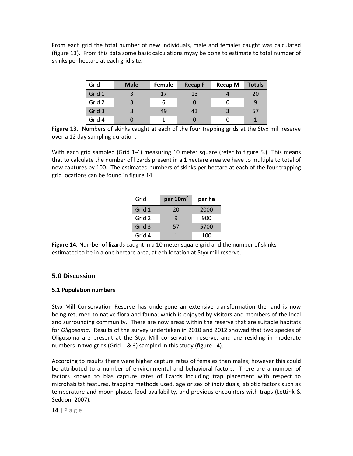From each grid the total number of new individuals, male and females caught was calculated (figure 13). From this data some basic calculations myay be done to estimate to total number of skinks per hectare at each grid site.

| Grid   | <b>Male</b> | Female | <b>Recap F</b> | <b>Recap M</b> | <b>Totals</b> |
|--------|-------------|--------|----------------|----------------|---------------|
| Grid 1 | 3           | 17     | 13             |                | 20            |
| Grid 2 | 3           | 6      |                |                | 9             |
| Grid 3 |             | 49     | 43             |                | 57            |
| Grid 4 |             |        |                |                |               |

Figure 13. Numbers of skinks caught at each of the four trapping grids at the Styx mill reserve over a 12 day sampling duration.

With each grid sampled (Grid 1-4) measuring 10 meter square (refer to figure 5.) This means that to calculate the number of lizards present in a 1 hectare area we have to multiple to total of new captures by 100. The estimated numbers of skinks per hectare at each of the four trapping grid locations can be found in figure 14.

| Grid   | per $10m^2$ | per ha |  |
|--------|-------------|--------|--|
| Grid 1 | 20          | 2000   |  |
| Grid 2 | q           | 900    |  |
| Grid 3 | 57          | 5700   |  |
| Grid 4 |             | 100    |  |

**Figure 14.** Number of lizards caught in a 10 meter square grid and the number of skinks estimated to be in a one hectare area, at ech location at Styx mill reserve.

## **5.0 Discussion**

## **5.1 Population numbers**

Styx Mill Conservation Reserve has undergone an extensive transformation the land is now being returned to native flora and fauna; which is enjoyed by visitors and members of the local and surrounding community. There are now areas within the reserve that are suitable habitats for *Oligosoma*. Results of the survey undertaken in 2010 and 2012 showed that two species of Oligosoma are present at the Styx Mill conservation reserve, and are residing in moderate numbers in two grids (Grid 1 & 3) sampled in this study (figure 14).

According to results there were higher capture rates of females than males; however this could be attributed to a number of environmental and behavioral factors. There are a number of factors known to bias capture rates of lizards including trap placement with respect to microhabitat features, trapping methods used, age or sex of individuals, abiotic factors such as temperature and moon phase, food availability, and previous encounters with traps (Lettink & Seddon, 2007).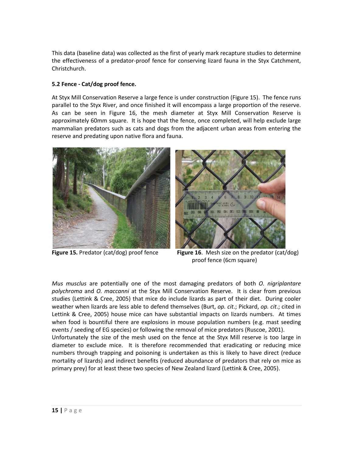This data (baseline data) was collected as the first of yearly mark recapture studies to determine the effectiveness of a predator-proof fence for conserving lizard fauna in the Styx Catchment, Christchurch.

## **5.2 Fence - Cat/dog proof fence.**

At Styx Mill Conservation Reserve a large fence is under construction (Figure 15). The fence runs parallel to the Styx River, and once finished it will encompass a large proportion of the reserve. As can be seen in Figure 16, the mesh diameter at Styx Mill Conservation Reserve is approximately 60mm square. It is hope that the fence, once completed, will help exclude large mammalian predators such as cats and dogs from the adjacent urban areas from entering the reserve and predating upon native flora and fauna.





 **Figure 15.** Predator (cat/dog) proof fence **Figure 16**. Mesh size on the predator (cat/dog) proof fence (6cm square)

*Mus musclus* are potentially one of the most damaging predators of both *O. nigriplantare polychroma* and *O. maccanni* at the Styx Mill Conservation Reserve. It is clear from previous studies (Lettink & Cree, 2005) that mice do include lizards as part of their diet. During cooler weather when lizards are less able to defend themselves (Burt, *op. cit*.; Pickard, *op. cit*.; cited in Lettink & Cree, 2005) house mice can have substantial impacts on lizards numbers. At times when food is bountiful there are explosions in mouse population numbers (e.g. mast seeding events / seeding of EG species) or following the removal of mice predators (Ruscoe, 2001). Unfortunately the size of the mesh used on the fence at the Styx Mill reserve is too large in diameter to exclude mice. It is therefore recommended that eradicating or reducing mice numbers through trapping and poisoning is undertaken as this is likely to have direct (reduce mortality of lizards) and indirect benefits (reduced abundance of predators that rely on mice as

primary prey) for at least these two species of New Zealand lizard (Lettink & Cree, 2005).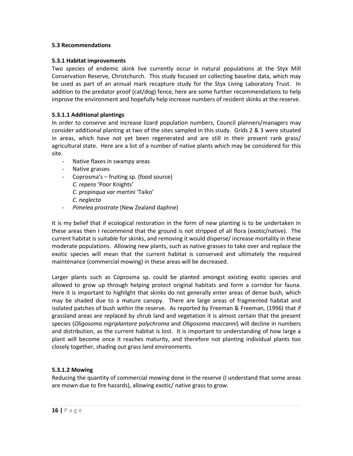#### **5.3 Recommendations**

#### **5.3.1 Habitat improvements**

Two species of endemic skink live currently occur in natural populations at the Styx Mill Conservation Reserve, Christchurch. This study focused on collecting baseline data, which may be used as part of an annual mark recapture study for the Styx Living Laboratory Trust. In addition to the predator proof (cat/dog) fence, here are some further recommendations to help improve the environment and hopefully help increase numbers of resident skinks at the reserve.

#### **5.3.1.1 Additional plantings**

In order to conserve and increase lizard population numbers, Council planners/managers may consider additional planting at two of the sites sampled in this study. Grids 2 & 3 were situated in areas, which have not yet been regenerated and are still in their present rank grass/ agricultural state. Here are a list of a number of native plants which may be considered for this site.

- Native flaxes in swampy areas
- Native grasses
- Coprosma's fruiting sp. (food source) *C. repens* 'Poor Knights' *C. propinqua var martini* 'Taiko' *C. neglecta*
- *Pimelea prostrate* (New Zealand daphne)

It is my belief that if ecological restoration in the form of new planting is to be undertaken in these areas then I recommend that the ground is not stripped of all flora (exotic/native). The current habitat is suitable for skinks, and removing it would disperse/ increase mortality in these moderate populations. Allowing new plants, such as native grasses to take over and replace the exotic species will mean that the current habitat is conserved and ultimately the required maintenance (commercial mowing) in these areas will be decreased.

Larger plants such as Coprosma sp. could be planted amongst existing exotic species and allowed to grow up through helping protect original habitats and form a corridor for fauna. Here it is important to highlight that skinks do not generally enter areas of dense bush, which may be shaded due to a mature canopy. There are large areas of fragmented habitat and isolated patches of bush within the reserve. As reported by Freeman & Freeman, (1996) that if grassland areas are replaced by shrub land and vegetation it is almost certain that the present species (*Oligosoma nigriplantare polychroma* and *Oligosoma maccanni*) will decline in numbers and distribution, as the current habitat is lost. It is important to understanding of how large a plant will become once it reaches maturity, and therefore not planting individual plants too closely together, shading out grass land environments.

#### **5.3.1.2 Mowing**

Reducing the quantity of commercial mowing done in the reserve (I understand that some areas are mown due to fire hazards), allowing exotic/ native grass to grow.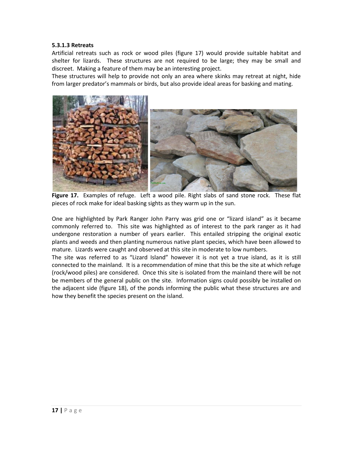#### **5.3.1.3 Retreats**

Artificial retreats such as rock or wood piles (figure 17) would provide suitable habitat and shelter for lizards. These structures are not required to be large; they may be small and discreet. Making a feature of them may be an interesting project.

These structures will help to provide not only an area where skinks may retreat at night, hide from larger predator's mammals or birds, but also provide ideal areas for basking and mating.



**Figure 17.** Examples of refuge. Left a wood pile. Right slabs of sand stone rock. These flat pieces of rock make for ideal basking sights as they warm up in the sun.

One are highlighted by Park Ranger John Parry was grid one or "lizard island" as it became commonly referred to. This site was highlighted as of interest to the park ranger as it had undergone restoration a number of years earlier. This entailed stripping the original exotic plants and weeds and then planting numerous native plant species, which have been allowed to mature. Lizards were caught and observed at this site in moderate to low numbers.

The site was referred to as "Lizard Island" however it is not yet a true island, as it is still connected to the mainland. It is a recommendation of mine that this be the site at which refuge (rock/wood piles) are considered. Once this site is isolated from the mainland there will be not be members of the general public on the site. Information signs could possibly be installed on the adjacent side (figure 18), of the ponds informing the public what these structures are and how they benefit the species present on the island.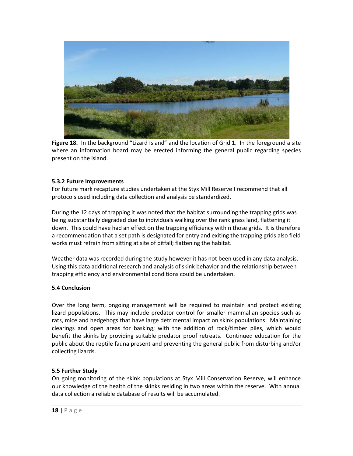

Figure 18. In the background "Lizard Island" and the location of Grid 1. In the foreground a site where an information board may be erected informing the general public regarding species present on the island.

#### **5.3.2 Future Improvements**

For future mark recapture studies undertaken at the Styx Mill Reserve I recommend that all protocols used including data collection and analysis be standardized.

During the 12 days of trapping it was noted that the habitat surrounding the trapping grids was being substantially degraded due to individuals walking over the rank grass land, flattening it down. This could have had an effect on the trapping efficiency within those grids. It is therefore a recommendation that a set path is designated for entry and exiting the trapping grids also field works must refrain from sitting at site of pitfall; flattening the habitat.

Weather data was recorded during the study however it has not been used in any data analysis. Using this data additional research and analysis of skink behavior and the relationship between trapping efficiency and environmental conditions could be undertaken.

## **5.4 Conclusion**

Over the long term, ongoing management will be required to maintain and protect existing lizard populations. This may include predator control for smaller mammalian species such as rats, mice and hedgehogs that have large detrimental impact on skink populations. Maintaining clearings and open areas for basking; with the addition of rock/timber piles, which would benefit the skinks by providing suitable predator proof retreats. Continued education for the public about the reptile fauna present and preventing the general public from disturbing and/or collecting lizards.

## **5.5 Further Study**

On going monitoring of the skink populations at Styx Mill Conservation Reserve, will enhance our knowledge of the health of the skinks residing in two areas within the reserve. With annual data collection a reliable database of results will be accumulated.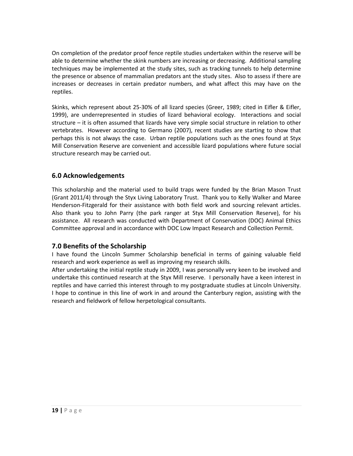On completion of the predator proof fence reptile studies undertaken within the reserve will be able to determine whether the skink numbers are increasing or decreasing. Additional sampling techniques may be implemented at the study sites, such as tracking tunnels to help determine the presence or absence of mammalian predators ant the study sites. Also to assess if there are increases or decreases in certain predator numbers, and what affect this may have on the reptiles.

Skinks, which represent about 25-30% of all lizard species (Greer, 1989; cited in Eifler & Eifler, 1999), are underrepresented in studies of lizard behavioral ecology. Interactions and social structure – it is often assumed that lizards have very simple social structure in relation to other vertebrates. However according to Germano (2007), recent studies are starting to show that perhaps this is not always the case. Urban reptile populations such as the ones found at Styx Mill Conservation Reserve are convenient and accessible lizard populations where future social structure research may be carried out.

# **6.0 Acknowledgements**

This scholarship and the material used to build traps were funded by the Brian Mason Trust (Grant 2011/4) through the Styx Living Laboratory Trust. Thank you to Kelly Walker and Maree Henderson-Fitzgerald for their assistance with both field work and sourcing relevant articles. Also thank you to John Parry (the park ranger at Styx Mill Conservation Reserve), for his assistance. All research was conducted with Department of Conservation (DOC) Animal Ethics Committee approval and in accordance with DOC Low Impact Research and Collection Permit.

# **7.0 Benefits of the Scholarship**

I have found the Lincoln Summer Scholarship beneficial in terms of gaining valuable field research and work experience as well as improving my research skills.

After undertaking the initial reptile study in 2009, I was personally very keen to be involved and undertake this continued research at the Styx Mill reserve. I personally have a keen interest in reptiles and have carried this interest through to my postgraduate studies at Lincoln University. I hope to continue in this line of work in and around the Canterbury region, assisting with the research and fieldwork of fellow herpetological consultants.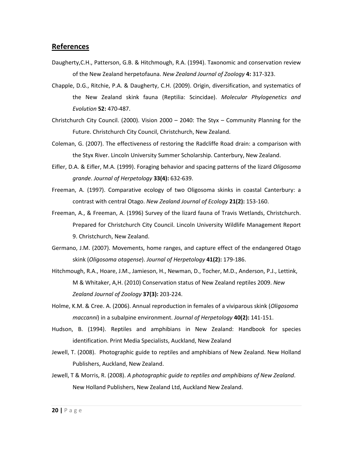## **References**

- Daugherty,C.H., Patterson, G.B. & Hitchmough, R.A. (1994). Taxonomic and conservation review of the New Zealand herpetofauna. *New Zealand Journal of Zoology* **4:** 317-323.
- Chapple, D.G., Ritchie, P.A. & Daugherty, C.H. (2009). Origin, diversification, and systematics of the New Zealand skink fauna (Reptilia: Scincidae). *Molecular Phylogenetics and Evolution* **52:** 470-487.
- Christchurch City Council. (2000). Vision 2000 2040: The Styx Community Planning for the Future. Christchurch City Council, Christchurch, New Zealand.
- Coleman, G. (2007). The effectiveness of restoring the Radcliffe Road drain: a comparison with the Styx River. Lincoln University Summer Scholarship. Canterbury, New Zealand.
- Eifler, D.A. & Eifler, M.A. (1999). Foraging behavior and spacing patterns of the lizard *Oligosoma grande*. *Journal of Herpetology* **33(4):** 632-639.
- Freeman, A. (1997). Comparative ecology of two Oligosoma skinks in coastal Canterbury: a contrast with central Otago. *New Zealand Journal of Ecology* **21(2):** 153-160.
- Freeman, A., & Freeman, A. (1996) Survey of the lizard fauna of Travis Wetlands, Christchurch. Prepared for Christchurch City Council. Lincoln University Wildlife Management Report 9. Christchurch, New Zealand.
- Germano, J.M. (2007). Movements, home ranges, and capture effect of the endangered Otago skink (*Oligosoma otagense*). *Journal of Herpetology* **41(2):** 179-186.
- Hitchmough, R.A., Hoare, J.M., Jamieson, H., Newman, D., Tocher, M.D., Anderson, P.J., Lettink, M & Whitaker, A,H. (2010) Conservation status of New Zealand reptiles 2009. *New Zealand Journal of Zoology* **37(3):** 203-224.
- Holme, K.M. & Cree. A. (2006). Annual reproduction in females of a viviparous skink (*Oligosoma maccanni*) in a subalpine environment. *Journal of Herpetology* **40(2):** 141-151.
- Hudson, B. (1994). Reptiles and amphibians in New Zealand: Handbook for species identification. Print Media Specialists, Auckland, New Zealand
- Jewell, T. (2008). Photographic guide to reptiles and amphibians of New Zealand. New Holland Publishers, Auckland, New Zealand.
- Jewell, T & Morris, R. (2008). *A photographic guide to reptiles and amphibians of New Zealand*. New Holland Publishers, New Zealand Ltd, Auckland New Zealand.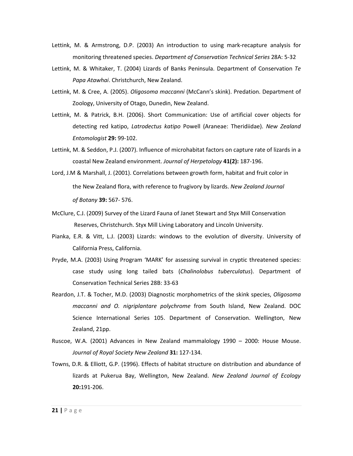- Lettink, M. & Armstrong, D.P. (2003) An introduction to using mark-recapture analysis for monitoring threatened species. *Department of Conservation Technical Series* 28A: 5-32
- Lettink, M. & Whitaker, T. (2004) Lizards of Banks Peninsula. Department of Conservation *Te Papa Atawhai*. Christchurch, New Zealand.
- Lettink, M. & Cree, A. (2005). *Oligosoma maccanni* (McCann's skink). Predation. Department of Zoology, University of Otago, Dunedin, New Zealand.
- Lettink, M. & Patrick, B.H. (2006). Short Communication: Use of artificial cover objects for detecting red katipo, *Latrodectus katipo* Powell (Araneae: Theridiidae). *New Zealand Entomologist* **29:** 99-102.
- Lettink, M. & Seddon, P.J. (2007). Influence of microhabitat factors on capture rate of lizards in a coastal New Zealand environment. *Journal of Herpetology* **41(2):** 187-196.
- Lord, J.M & Marshall, J. (2001). Correlations between growth form, habitat and fruit color in the New Zealand flora, with reference to frugivory by lizards. *New Zealand Journal of Botany* **39:** 567- 576.
- McClure, C.J. (2009) Survey of the Lizard Fauna of Janet Stewart and Styx Mill Conservation Reserves, Christchurch. Styx Mill Living Laboratory and Lincoln University.
- Pianka, E.R. & Vitt, L.J. (2003) Lizards: windows to the evolution of diversity. University of California Press, California.
- Pryde, M.A. (2003) Using Program 'MARK' for assessing survival in cryptic threatened species: case study using long tailed bats (*Chalinolobus tuberculatus*). Department of Conservation Technical Series 28B: 33-63
- Reardon, J.T. & Tocher, M.D. (2003) Diagnostic morphometrics of the skink species, *Oligosoma maccanni and O. nigriplantare polychrome* from South Island, New Zealand. DOC Science International Series 105. Department of Conservation. Wellington, New Zealand, 21pp.
- Ruscoe, W.A. (2001) Advances in New Zealand mammalology 1990 2000: House Mouse. *Journal of Royal Society New Zealand* **31:** 127-134.
- Towns, D.R. & Elliott, G.P. (1996). Effects of habitat structure on distribution and abundance of lizards at Pukerua Bay, Wellington, New Zealand. *New Zealand Journal of Ecology*  **20:**191-206.